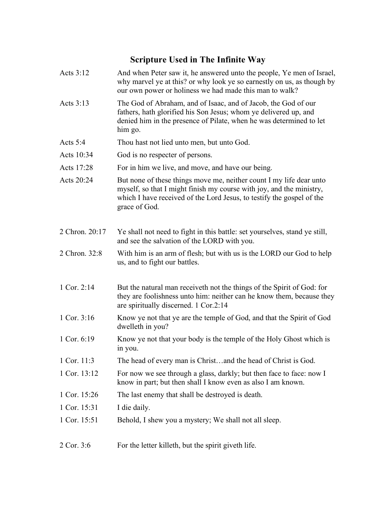## **Scripture Used in The Infinite Way**

- Acts 3:12 And when Peter saw it, he answered unto the people, Ye men of Israel, why marvel ye at this? or why look ye so earnestly on us, as though by our own power or holiness we had made this man to walk?
- Acts 3:13 The God of Abraham, and of Isaac, and of Jacob, the God of our fathers, hath glorified his Son Jesus; whom ye delivered up, and denied him in the presence of Pilate, when he was determined to let him go.
- Acts 5:4 Thou hast not lied unto men, but unto God.
- Acts 10:34 God is no respecter of persons.
- Acts 17:28 For in him we live, and move, and have our being.
- Acts 20:24 But none of these things move me, neither count I my life dear unto myself, so that I might finish my course with joy, and the ministry, which I have received of the Lord Jesus, to testify the gospel of the grace of God.
- 2 Chron. 20:17 Ye shall not need to fight in this battle: set yourselves, stand ye still, and see the salvation of the LORD with you.
- 2 Chron. 32:8 With him is an arm of flesh; but with us is the LORD our God to help us, and to fight our battles.
- 1 Cor. 2:14 But the natural man receiveth not the things of the Spirit of God: for they are foolishness unto him: neither can he know them, because they are spiritually discerned. 1 Cor.2:14
- 1 Cor. 3:16 Know ye not that ye are the temple of God, and that the Spirit of God dwelleth in you?
- 1 Cor. 6:19 Know ye not that your body is the temple of the Holy Ghost which is in you.
- 1 Cor. 11:3 The head of every man is Christ…and the head of Christ is God.
- 1 Cor. 13:12 For now we see through a glass, darkly; but then face to face: now I know in part; but then shall I know even as also I am known.
- 1 Cor. 15:26 The last enemy that shall be destroyed is death.
- 1 Cor. 15:31 I die daily.
- 1 Cor. 15:51 Behold, I shew you a mystery; We shall not all sleep.
- 2 Cor. 3:6 For the letter killeth, but the spirit giveth life.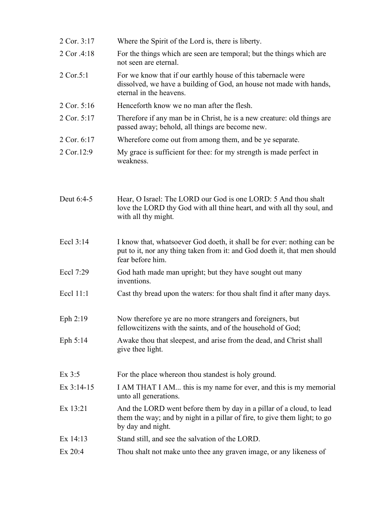| 2 Cor. 3:17  | Where the Spirit of the Lord is, there is liberty.                                                                                                                       |
|--------------|--------------------------------------------------------------------------------------------------------------------------------------------------------------------------|
| 2 Cor .4:18  | For the things which are seen are temporal; but the things which are<br>not seen are eternal.                                                                            |
| 2 Cor.5:1    | For we know that if our earthly house of this tabernacle were<br>dissolved, we have a building of God, an house not made with hands,<br>eternal in the heavens.          |
| 2 Cor. 5:16  | Henceforth know we no man after the flesh.                                                                                                                               |
| 2 Cor. 5:17  | Therefore if any man be in Christ, he is a new creature: old things are<br>passed away; behold, all things are become new.                                               |
| 2 Cor. 6:17  | Wherefore come out from among them, and be ye separate.                                                                                                                  |
| 2 Cor.12:9   | My grace is sufficient for thee: for my strength is made perfect in<br>weakness.                                                                                         |
| Deut 6:4-5   | Hear, O Israel: The LORD our God is one LORD: 5 And thou shalt<br>love the LORD thy God with all thine heart, and with all thy soul, and<br>with all thy might.          |
| Eccl 3:14    | I know that, whatsoever God doeth, it shall be for ever: nothing can be<br>put to it, nor any thing taken from it: and God doeth it, that men should<br>fear before him. |
| Eccl 7:29    | God hath made man upright; but they have sought out many<br>inventions.                                                                                                  |
| Eccl 11:1    | Cast thy bread upon the waters: for thou shalt find it after many days.                                                                                                  |
| Eph $2:19$   | Now therefore ye are no more strangers and foreigners, but<br>fellowcitizens with the saints, and of the household of God;                                               |
| Eph 5:14     | Awake thou that sleepest, and arise from the dead, and Christ shall<br>give thee light.                                                                                  |
| Ex $3:5$     | For the place whereon thou standest is holy ground.                                                                                                                      |
| Ex $3:14-15$ | I AM THAT I AM this is my name for ever, and this is my memorial<br>unto all generations.                                                                                |
| Ex 13:21     | And the LORD went before them by day in a pillar of a cloud, to lead<br>them the way; and by night in a pillar of fire, to give them light; to go<br>by day and night.   |
| Ex $14:13$   | Stand still, and see the salvation of the LORD.                                                                                                                          |
| $Ex$ 20:4    | Thou shalt not make unto thee any graven image, or any likeness of                                                                                                       |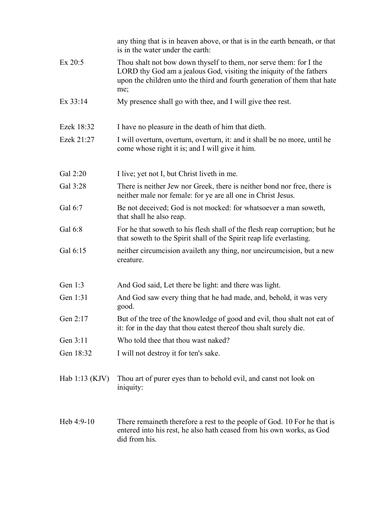|                  | any thing that is in heaven above, or that is in the earth beneath, or that<br>is in the water under the earth:                                                                                                              |
|------------------|------------------------------------------------------------------------------------------------------------------------------------------------------------------------------------------------------------------------------|
| $Ex$ 20:5        | Thou shalt not bow down thyself to them, nor serve them: for I the<br>LORD thy God am a jealous God, visiting the iniquity of the fathers<br>upon the children unto the third and fourth generation of them that hate<br>me; |
| Ex 33:14         | My presence shall go with thee, and I will give thee rest.                                                                                                                                                                   |
| Ezek 18:32       | I have no pleasure in the death of him that dieth.                                                                                                                                                                           |
| Ezek 21:27       | I will overturn, overturn, overturn, it: and it shall be no more, until he<br>come whose right it is; and I will give it him.                                                                                                |
| Gal 2:20         | I live; yet not I, but Christ liveth in me.                                                                                                                                                                                  |
| Gal 3:28         | There is neither Jew nor Greek, there is neither bond nor free, there is<br>neither male nor female: for ye are all one in Christ Jesus.                                                                                     |
| Gal 6:7          | Be not deceived; God is not mocked: for whatsoever a man soweth,<br>that shall he also reap.                                                                                                                                 |
| Gal 6:8          | For he that soweth to his flesh shall of the flesh reap corruption; but he<br>that soweth to the Spirit shall of the Spirit reap life everlasting.                                                                           |
| Gal 6:15         | neither circumcision availeth any thing, nor uncircumcision, but a new<br>creature.                                                                                                                                          |
| Gen 1:3          | And God said, Let there be light: and there was light.                                                                                                                                                                       |
| Gen 1:31         | And God saw every thing that he had made, and, behold, it was very<br>good.                                                                                                                                                  |
| Gen $2:17$       | But of the tree of the knowledge of good and evil, thou shalt not eat of<br>it: for in the day that thou eatest thereof thou shalt surely die.                                                                               |
| Gen 3:11         | Who told thee that thou wast naked?                                                                                                                                                                                          |
| Gen 18:32        | I will not destroy it for ten's sake.                                                                                                                                                                                        |
| Hab $1:13$ (KJV) | Thou art of purer eyes than to behold evil, and canst not look on<br>iniquity:                                                                                                                                               |
| Heb $4:9-10$     | There remaine th therefore a rest to the people of God. 10 For he that is<br>entered into his rest, he also hath ceased from his own works, as God<br>did from his.                                                          |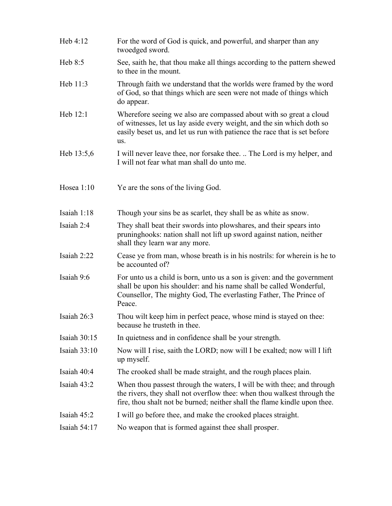Heb 4:12 For the word of God is quick, and powerful, and sharper than any twoedged sword. Heb 8:5 See, saith he, that thou make all things according to the pattern shewed to thee in the mount. Heb 11:3 Through faith we understand that the worlds were framed by the word of God, so that things which are seen were not made of things which do appear. Heb 12:1 Wherefore seeing we also are compassed about with so great a cloud of witnesses, let us lay aside every weight, and the sin which doth so easily beset us, and let us run with patience the race that is set before us. Heb 13:5,6 I will never leave thee, nor forsake thee. .. The Lord is my helper, and I will not fear what man shall do unto me. Hosea 1:10 Ye are the sons of the living God. Isaiah 1:18 Though your sins be as scarlet, they shall be as white as snow. Isaiah 2:4 They shall beat their swords into plowshares, and their spears into pruninghooks: nation shall not lift up sword against nation, neither shall they learn war any more. Isaiah 2:22 Cease ye from man, whose breath is in his nostrils: for wherein is he to be accounted of? Isaiah 9:6 For unto us a child is born, unto us a son is given: and the government shall be upon his shoulder: and his name shall be called Wonderful, Counsellor, The mighty God, The everlasting Father, The Prince of Peace. Isaiah 26:3 Thou wilt keep him in perfect peace, whose mind is stayed on thee: because he trusteth in thee. Isaiah 30:15 In quietness and in confidence shall be your strength. Isaiah 33:10 Now will I rise, saith the LORD; now will I be exalted; now will I lift up myself. Isaiah 40:4 The crooked shall be made straight, and the rough places plain. Isaiah 43:2 When thou passest through the waters, I will be with thee; and through the rivers, they shall not overflow thee: when thou walkest through the fire, thou shalt not be burned; neither shall the flame kindle upon thee. Isaiah 45:2 I will go before thee, and make the crooked places straight. Isaiah 54:17 No weapon that is formed against thee shall prosper.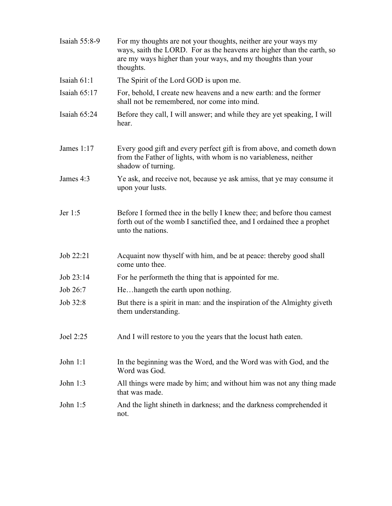| Isaiah 55:8-9  | For my thoughts are not your thoughts, neither are your ways my<br>ways, saith the LORD. For as the heavens are higher than the earth, so<br>are my ways higher than your ways, and my thoughts than your<br>thoughts. |
|----------------|------------------------------------------------------------------------------------------------------------------------------------------------------------------------------------------------------------------------|
| Isaiah $61:1$  | The Spirit of the Lord GOD is upon me.                                                                                                                                                                                 |
| Isaiah $65:17$ | For, behold, I create new heavens and a new earth: and the former<br>shall not be remembered, nor come into mind.                                                                                                      |
| Isaiah $65:24$ | Before they call, I will answer; and while they are yet speaking, I will<br>hear.                                                                                                                                      |
| James $1:17$   | Every good gift and every perfect gift is from above, and cometh down<br>from the Father of lights, with whom is no variableness, neither<br>shadow of turning.                                                        |
| James 4:3      | Ye ask, and receive not, because ye ask amiss, that ye may consume it<br>upon your lusts.                                                                                                                              |
| Jer 1:5        | Before I formed thee in the belly I knew thee; and before thou camest<br>forth out of the womb I sanctified thee, and I ordained thee a prophet<br>unto the nations.                                                   |
| Job $22:21$    | Acquaint now thyself with him, and be at peace: thereby good shall<br>come unto thee.                                                                                                                                  |
| Job 23:14      | For he performeth the thing that is appointed for me.                                                                                                                                                                  |
| Job 26:7       | Hehangeth the earth upon nothing.                                                                                                                                                                                      |
| Job 32:8       | But there is a spirit in man: and the inspiration of the Almighty giveth<br>them understanding.                                                                                                                        |
| Joel 2:25      | And I will restore to you the years that the locust hath eaten.                                                                                                                                                        |
| John $1:1$     | In the beginning was the Word, and the Word was with God, and the<br>Word was God.                                                                                                                                     |
| John 1:3       | All things were made by him; and without him was not any thing made<br>that was made.                                                                                                                                  |
| John $1:5$     | And the light shineth in darkness; and the darkness comprehended it<br>not.                                                                                                                                            |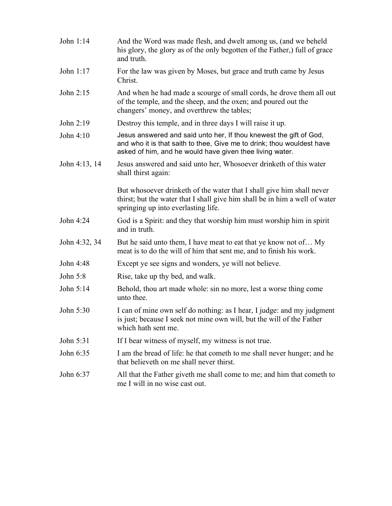| John 1:14     | And the Word was made flesh, and dwelt among us, (and we beheld<br>his glory, the glory as of the only begotten of the Father, full of grace<br>and truth.                                               |
|---------------|----------------------------------------------------------------------------------------------------------------------------------------------------------------------------------------------------------|
| John 1:17     | For the law was given by Moses, but grace and truth came by Jesus<br>Christ.                                                                                                                             |
| John 2:15     | And when he had made a scourge of small cords, he drove them all out<br>of the temple, and the sheep, and the oxen; and poured out the<br>changers' money, and overthrew the tables;                     |
| John 2:19     | Destroy this temple, and in three days I will raise it up.                                                                                                                                               |
| John 4:10     | Jesus answered and said unto her, If thou knewest the gift of God,<br>and who it is that saith to thee, Give me to drink; thou wouldest have<br>asked of him, and he would have given thee living water. |
| John 4:13, 14 | Jesus answered and said unto her, Whosoever drinketh of this water<br>shall thirst again:                                                                                                                |
|               | But whosoever drinketh of the water that I shall give him shall never<br>thirst; but the water that I shall give him shall be in him a well of water<br>springing up into everlasting life.              |
| John 4:24     | God is a Spirit: and they that worship him must worship him in spirit<br>and in truth.                                                                                                                   |
| John 4:32, 34 | But he said unto them, I have meat to eat that ye know not of My<br>meat is to do the will of him that sent me, and to finish his work.                                                                  |
| John 4:48     | Except ye see signs and wonders, ye will not believe.                                                                                                                                                    |
| John 5:8      | Rise, take up thy bed, and walk.                                                                                                                                                                         |
| John 5:14     | Behold, thou art made whole: sin no more, lest a worse thing come<br>unto thee.                                                                                                                          |
| John 5:30     | I can of mine own self do nothing: as I hear, I judge: and my judgment<br>is just; because I seek not mine own will, but the will of the Father<br>which hath sent me.                                   |
| John 5:31     | If I bear witness of myself, my witness is not true.                                                                                                                                                     |
| John 6:35     | I am the bread of life: he that cometh to me shall never hunger; and he<br>that believeth on me shall never thirst.                                                                                      |
| John 6:37     | All that the Father giveth me shall come to me; and him that cometh to<br>me I will in no wise cast out.                                                                                                 |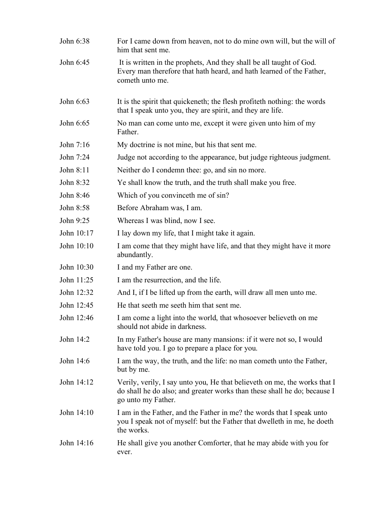| John 6:38  | For I came down from heaven, not to do mine own will, but the will of<br>him that sent me.                                                                                  |
|------------|-----------------------------------------------------------------------------------------------------------------------------------------------------------------------------|
| John 6:45  | It is written in the prophets, And they shall be all taught of God.<br>Every man therefore that hath heard, and hath learned of the Father,<br>cometh unto me.              |
| John 6:63  | It is the spirit that quickeneth; the flesh profiteth nothing: the words<br>that I speak unto you, they are spirit, and they are life.                                      |
| John 6:65  | No man can come unto me, except it were given unto him of my<br>Father.                                                                                                     |
| John 7:16  | My doctrine is not mine, but his that sent me.                                                                                                                              |
| John 7:24  | Judge not according to the appearance, but judge righteous judgment.                                                                                                        |
| John 8:11  | Neither do I condemn thee: go, and sin no more.                                                                                                                             |
| John 8:32  | Ye shall know the truth, and the truth shall make you free.                                                                                                                 |
| John 8:46  | Which of you convinceth me of sin?                                                                                                                                          |
| John 8:58  | Before Abraham was, I am.                                                                                                                                                   |
| John 9:25  | Whereas I was blind, now I see.                                                                                                                                             |
| John 10:17 | I lay down my life, that I might take it again.                                                                                                                             |
| John 10:10 | I am come that they might have life, and that they might have it more<br>abundantly.                                                                                        |
| John 10:30 | I and my Father are one.                                                                                                                                                    |
| John 11:25 | I am the resurrection, and the life.                                                                                                                                        |
| John 12:32 | And I, if I be lifted up from the earth, will draw all men unto me.                                                                                                         |
| John 12:45 | He that seeth me seeth him that sent me.                                                                                                                                    |
| John 12:46 | I am come a light into the world, that whosoever believeth on me<br>should not abide in darkness.                                                                           |
| John 14:2  | In my Father's house are many mansions: if it were not so, I would<br>have told you. I go to prepare a place for you.                                                       |
| John 14:6  | I am the way, the truth, and the life: no man cometh unto the Father,<br>but by me.                                                                                         |
| John 14:12 | Verily, verily, I say unto you, He that believeth on me, the works that I<br>do shall he do also; and greater works than these shall he do; because I<br>go unto my Father. |
| John 14:10 | I am in the Father, and the Father in me? the words that I speak unto<br>you I speak not of myself: but the Father that dwelleth in me, he doeth<br>the works.              |
| John 14:16 | He shall give you another Comforter, that he may abide with you for<br>ever.                                                                                                |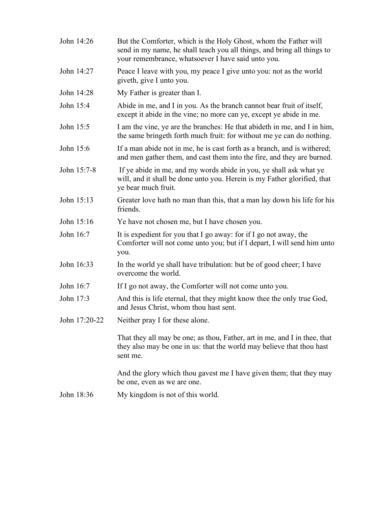| John 14:26    | But the Comforter, which is the Holy Ghost, whom the Father will<br>send in my name, he shall teach you all things, and bring all things to<br>your remembrance, whatsoever I have said unto you. |
|---------------|---------------------------------------------------------------------------------------------------------------------------------------------------------------------------------------------------|
| John 14:27    | Peace I leave with you, my peace I give unto you: not as the world<br>giveth, give I unto you.                                                                                                    |
| John 14:28    | My Father is greater than I.                                                                                                                                                                      |
| John 15:4     | Abide in me, and I in you. As the branch cannot bear fruit of itself,<br>except it abide in the vine; no more can ye, except ye abide in me.                                                      |
| John 15:5     | I am the vine, ye are the branches. He that abideth in me, and I in him,<br>the same bringeth forth much fruit: for without me ye can do nothing.                                                 |
| John 15:6     | If a man abide not in me, he is cast forth as a branch, and is withered;<br>and men gather them, and cast them into the fire, and they are burned.                                                |
| John 15:7-8   | If ye abide in me, and my words abide in you, ye shall ask what ye<br>will, and it shall be done unto you. Herein is my Father glorified, that<br>ye bear much fruit.                             |
| John 15:13    | Greater love hath no man than this, that a man lay down his life for his<br>friends.                                                                                                              |
| John 15:16    | Ye have not chosen me, but I have chosen you.                                                                                                                                                     |
| John 16:7     | It is expedient for you that I go away: for if I go not away, the<br>Comforter will not come unto you; but if I depart, I will send him unto<br>you.                                              |
| John 16:33    | In the world ye shall have tribulation: but be of good cheer; I have<br>overcome the world.                                                                                                       |
| John 16:7     | If I go not away, the Comforter will not come unto you.                                                                                                                                           |
| John 17:3     | And this is life eternal, that they might know thee the only true God,<br>and Jesus Christ, whom thou hast sent.                                                                                  |
| John 17:20-22 | Neither pray I for these alone.                                                                                                                                                                   |
|               | That they all may be one; as thou, Father, art in me, and I in thee, that<br>they also may be one in us: that the world may believe that thou hast<br>sent me.                                    |
|               | And the glory which thou gavest me I have given them; that they may<br>be one, even as we are one.                                                                                                |
| John 18:36    | My kingdom is not of this world.                                                                                                                                                                  |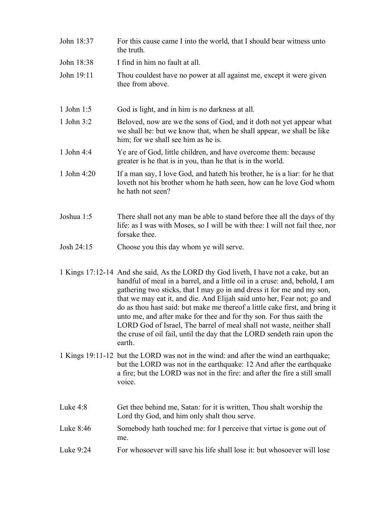| John 18:37   | For this cause came I into the world, that I should bear witness unto<br>the truth.                                                                                                                                                                                                                                                                                                                                                                                             |
|--------------|---------------------------------------------------------------------------------------------------------------------------------------------------------------------------------------------------------------------------------------------------------------------------------------------------------------------------------------------------------------------------------------------------------------------------------------------------------------------------------|
| John 18:38   | I find in him no fault at all.                                                                                                                                                                                                                                                                                                                                                                                                                                                  |
| John 19:11   | Thou couldest have no power at all against me, except it were given<br>thee from above.                                                                                                                                                                                                                                                                                                                                                                                         |
| 1 John 1:5   | God is light, and in him is no darkness at all.                                                                                                                                                                                                                                                                                                                                                                                                                                 |
| 1 John $3:2$ | Beloved, now are we the sons of God, and it doth not yet appear what<br>we shall be: but we know that, when he shall appear, we shall be like<br>him; for we shall see him as he is.                                                                                                                                                                                                                                                                                            |
| 1 John 4:4   | Ye are of God, little children, and have overcome them: because<br>greater is he that is in you, than he that is in the world.                                                                                                                                                                                                                                                                                                                                                  |
| 1 John 4:20  | If a man say, I love God, and hate th his brother, he is a liar: for he that<br>loveth not his brother whom he hath seen, how can he love God whom<br>he hath not seen?                                                                                                                                                                                                                                                                                                         |
| Joshua 1:5   | There shall not any man be able to stand before thee all the days of thy<br>life: as I was with Moses, so I will be with thee: I will not fail thee, nor<br>forsake thee.                                                                                                                                                                                                                                                                                                       |
| Josh 24:15   | Choose you this day whom ye will serve.                                                                                                                                                                                                                                                                                                                                                                                                                                         |
|              | 1 Kings 17:12-14 And she said, As the LORD thy God liveth, I have not a cake, but an<br>handful of meal in a barrel, and a little oil in a cruse: and, behold, I am<br>gathering two sticks, that I may go in and dress it for me and my son,<br>that we may eat it, and die. And Elijah said unto her, Fear not; go and<br>do as thou hast said: but make me thereof a little cake first, and bring it<br>unto me, and after make for thee and for thy son. For thus saith the |

- LORD God of Israel, The barrel of meal shall not waste, neither shall the cruse of oil fail, until the day that the LORD sendeth rain upon the earth.
- 1 Kings 19:11-12 but the LORD was not in the wind: and after the wind an earthquake; but the LORD was not in the earthquake: 12 And after the earthquake a fire; but the LORD was not in the fire: and after the fire a still small voice.
- Luke 4:8 Get thee behind me, Satan: for it is written, Thou shalt worship the Lord thy God, and him only shalt thou serve. Luke 8:46 Somebody hath touched me: for I perceive that virtue is gone out of me.
- Luke 9:24 For whosoever will save his life shall lose it: but whosoever will lose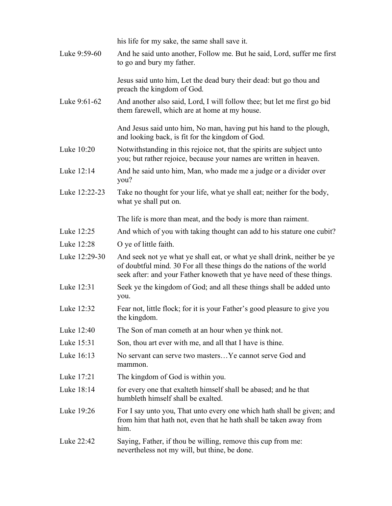his life for my sake, the same shall save it. Luke 9:59-60 And he said unto another, Follow me. But he said, Lord, suffer me first to go and bury my father. Jesus said unto him, Let the dead bury their dead: but go thou and preach the kingdom of God. Luke 9:61-62 And another also said, Lord, I will follow thee; but let me first go bid them farewell, which are at home at my house. And Jesus said unto him, No man, having put his hand to the plough, and looking back, is fit for the kingdom of God. Luke 10:20 Notwithstanding in this rejoice not, that the spirits are subject unto you; but rather rejoice, because your names are written in heaven. Luke 12:14 And he said unto him, Man, who made me a judge or a divider over you? Luke 12:22-23 Take no thought for your life, what ye shall eat; neither for the body, what ye shall put on. The life is more than meat, and the body is more than raiment. Luke 12:25 And which of you with taking thought can add to his stature one cubit? Luke 12:28 O ye of little faith. Luke 12:29-30 And seek not ye what ye shall eat, or what ye shall drink, neither be ye of doubtful mind. 30 For all these things do the nations of the world seek after: and your Father knoweth that ye have need of these things. Luke 12:31 Seek ye the kingdom of God; and all these things shall be added unto you. Luke 12:32 Fear not, little flock; for it is your Father's good pleasure to give you the kingdom. Luke 12:40 The Son of man cometh at an hour when ye think not. Luke 15:31 Son, thou art ever with me, and all that I have is thine. Luke 16:13 No servant can serve two masters... Ye cannot serve God and mammon. Luke 17:21 The kingdom of God is within you. Luke 18:14 for every one that exalteth himself shall be abased; and he that humbleth himself shall be exalted. Luke 19:26 For I say unto you, That unto every one which hath shall be given; and from him that hath not, even that he hath shall be taken away from him. Luke 22:42 Saying, Father, if thou be willing, remove this cup from me: nevertheless not my will, but thine, be done.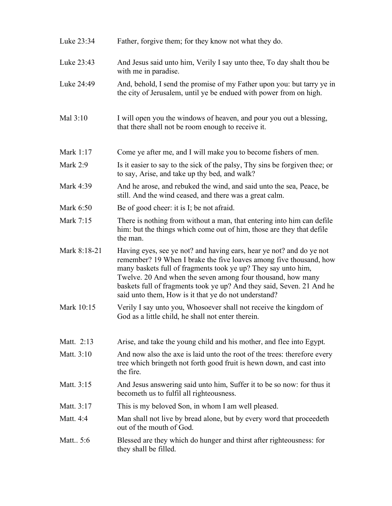| Luke 23:34   | Father, forgive them; for they know not what they do.                                                                                                                                                                                                                                                                                                                                                       |
|--------------|-------------------------------------------------------------------------------------------------------------------------------------------------------------------------------------------------------------------------------------------------------------------------------------------------------------------------------------------------------------------------------------------------------------|
| Luke 23:43   | And Jesus said unto him, Verily I say unto thee, To day shalt thou be<br>with me in paradise.                                                                                                                                                                                                                                                                                                               |
| Luke 24:49   | And, behold, I send the promise of my Father upon you: but tarry ye in<br>the city of Jerusalem, until ye be endued with power from on high.                                                                                                                                                                                                                                                                |
| Mal 3:10     | I will open you the windows of heaven, and pour you out a blessing,<br>that there shall not be room enough to receive it.                                                                                                                                                                                                                                                                                   |
| Mark 1:17    | Come ye after me, and I will make you to become fishers of men.                                                                                                                                                                                                                                                                                                                                             |
| Mark $2:9$   | Is it easier to say to the sick of the palsy, Thy sins be forgiven thee; or<br>to say, Arise, and take up thy bed, and walk?                                                                                                                                                                                                                                                                                |
| Mark 4:39    | And he arose, and rebuked the wind, and said unto the sea, Peace, be<br>still. And the wind ceased, and there was a great calm.                                                                                                                                                                                                                                                                             |
| Mark 6:50    | Be of good cheer: it is I; be not afraid.                                                                                                                                                                                                                                                                                                                                                                   |
| Mark 7:15    | There is nothing from without a man, that entering into him can defile<br>him: but the things which come out of him, those are they that defile<br>the man.                                                                                                                                                                                                                                                 |
| Mark 8:18-21 | Having eyes, see ye not? and having ears, hear ye not? and do ye not<br>remember? 19 When I brake the five loaves among five thousand, how<br>many baskets full of fragments took ye up? They say unto him,<br>Twelve. 20 And when the seven among four thousand, how many<br>baskets full of fragments took ye up? And they said, Seven. 21 And he<br>said unto them, How is it that ye do not understand? |
| Mark 10:15   | Verily I say unto you, Whosoever shall not receive the kingdom of<br>God as a little child, he shall not enter therein.                                                                                                                                                                                                                                                                                     |
| Matt. 2:13   | Arise, and take the young child and his mother, and flee into Egypt.                                                                                                                                                                                                                                                                                                                                        |
| Matt. 3:10   | And now also the axe is laid unto the root of the trees: therefore every<br>tree which bringeth not forth good fruit is hewn down, and cast into<br>the fire.                                                                                                                                                                                                                                               |
| Matt. 3:15   | And Jesus answering said unto him, Suffer it to be so now: for thus it<br>becometh us to fulfil all righteousness.                                                                                                                                                                                                                                                                                          |
| Matt. 3:17   | This is my beloved Son, in whom I am well pleased.                                                                                                                                                                                                                                                                                                                                                          |
| Matt. 4:4    | Man shall not live by bread alone, but by every word that proceedeth<br>out of the mouth of God.                                                                                                                                                                                                                                                                                                            |
| Matt 5:6     | Blessed are they which do hunger and thirst after righteousness: for<br>they shall be filled.                                                                                                                                                                                                                                                                                                               |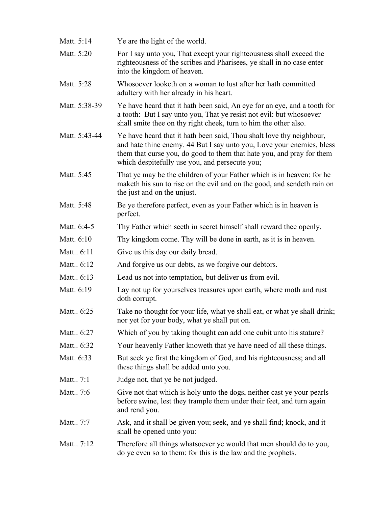Matt. 5:14 Ye are the light of the world. Matt. 5:20 For I say unto you, That except your righteousness shall exceed the righteousness of the scribes and Pharisees, ye shall in no case enter into the kingdom of heaven. Matt. 5:28 Whosoever looketh on a woman to lust after her hath committed adultery with her already in his heart. Matt. 5:38-39 Ye have heard that it hath been said, An eye for an eye, and a tooth for a tooth: But I say unto you, That ye resist not evil: but whosoever shall smite thee on thy right cheek, turn to him the other also. Matt. 5:43-44 Ye have heard that it hath been said, Thou shalt love thy neighbour, and hate thine enemy. 44 But I say unto you, Love your enemies, bless them that curse you, do good to them that hate you, and pray for them which despitefully use you, and persecute you; Matt. 5:45 That ye may be the children of your Father which is in heaven: for he maketh his sun to rise on the evil and on the good, and sendeth rain on the just and on the unjust. Matt. 5:48 Be ye therefore perfect, even as your Father which is in heaven is perfect. Matt. 6:4-5 Thy Father which seeth in secret himself shall reward thee openly. Matt. 6:10 Thy kingdom come. Thy will be done in earth, as it is in heaven. Matt.. 6:11 Give us this day our daily bread. Matt.. 6:12 And forgive us our debts, as we forgive our debtors. Matt.. 6:13 Lead us not into temptation, but deliver us from evil. Matt. 6:19 Lay not up for yourselves treasures upon earth, where moth and rust doth corrupt. Matt.. 6:25 Take no thought for your life, what ye shall eat, or what ye shall drink; nor yet for your body, what ye shall put on. Matt.. 6:27 Which of you by taking thought can add one cubit unto his stature? Matt.. 6:32 Your heavenly Father knoweth that ye have need of all these things. Matt. 6:33 But seek ye first the kingdom of God, and his righteousness; and all these things shall be added unto you. Matt... 7:1 Judge not, that ye be not judged. Matt.. 7:6 Give not that which is holy unto the dogs, neither cast ye your pearls before swine, lest they trample them under their feet, and turn again and rend you. Matt.. 7:7 Ask, and it shall be given you; seek, and ye shall find; knock, and it shall be opened unto you: Matt.. 7:12 Therefore all things whatsoever ye would that men should do to you, do ye even so to them: for this is the law and the prophets.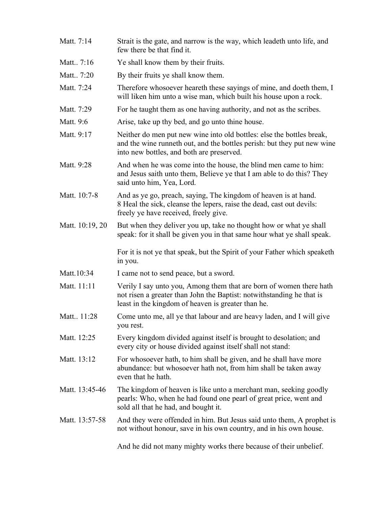| Matt. 7:14      | Strait is the gate, and narrow is the way, which leadeth unto life, and<br>few there be that find it.                                                                                              |
|-----------------|----------------------------------------------------------------------------------------------------------------------------------------------------------------------------------------------------|
| Matt 7:16       | Ye shall know them by their fruits.                                                                                                                                                                |
| Matt 7:20       | By their fruits ye shall know them.                                                                                                                                                                |
| Matt. 7:24      | Therefore whosoever heareth these sayings of mine, and doeth them, I<br>will liken him unto a wise man, which built his house upon a rock.                                                         |
| Matt. 7:29      | For he taught them as one having authority, and not as the scribes.                                                                                                                                |
| Matt. 9:6       | Arise, take up thy bed, and go unto thine house.                                                                                                                                                   |
| Matt. 9:17      | Neither do men put new wine into old bottles: else the bottles break,<br>and the wine runneth out, and the bottles perish: but they put new wine<br>into new bottles, and both are preserved.      |
| Matt. 9:28      | And when he was come into the house, the blind men came to him:<br>and Jesus saith unto them, Believe ye that I am able to do this? They<br>said unto him, Yea, Lord.                              |
| Matt. 10:7-8    | And as ye go, preach, saying, The kingdom of heaven is at hand.<br>8 Heal the sick, cleanse the lepers, raise the dead, cast out devils:<br>freely ye have received, freely give.                  |
| Matt. 10:19, 20 | But when they deliver you up, take no thought how or what ye shall<br>speak: for it shall be given you in that same hour what ye shall speak.                                                      |
|                 | For it is not ye that speak, but the Spirit of your Father which speaketh<br>in you.                                                                                                               |
| Matt.10:34      | I came not to send peace, but a sword.                                                                                                                                                             |
| Matt. 11:11     | Verily I say unto you, Among them that are born of women there hath<br>not risen a greater than John the Baptist: notwithstanding he that is<br>least in the kingdom of heaven is greater than he. |
| Matt 11:28      | Come unto me, all ye that labour and are heavy laden, and I will give<br>you rest.                                                                                                                 |
| Matt. 12:25     | Every kingdom divided against itself is brought to desolation; and<br>every city or house divided against itself shall not stand:                                                                  |
| Matt. 13:12     | For whosoever hath, to him shall be given, and he shall have more<br>abundance: but whosoever hath not, from him shall be taken away<br>even that he hath.                                         |
| Matt. 13:45-46  | The kingdom of heaven is like unto a merchant man, seeking goodly<br>pearls: Who, when he had found one pearl of great price, went and                                                             |
|                 | sold all that he had, and bought it.                                                                                                                                                               |
| Matt. 13:57-58  | And they were offended in him. But Jesus said unto them, A prophet is<br>not without honour, save in his own country, and in his own house.                                                        |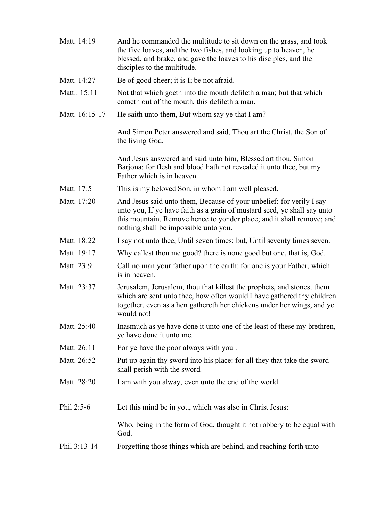| Matt. 14:19    | And he commanded the multitude to sit down on the grass, and took<br>the five loaves, and the two fishes, and looking up to heaven, he<br>blessed, and brake, and gave the loaves to his disciples, and the<br>disciples to the multitude.                         |
|----------------|--------------------------------------------------------------------------------------------------------------------------------------------------------------------------------------------------------------------------------------------------------------------|
| Matt. 14:27    | Be of good cheer; it is I; be not afraid.                                                                                                                                                                                                                          |
| Matt. 15:11    | Not that which goeth into the mouth defileth a man; but that which<br>cometh out of the mouth, this defileth a man.                                                                                                                                                |
| Matt. 16:15-17 | He saith unto them, But whom say ye that I am?                                                                                                                                                                                                                     |
|                | And Simon Peter answered and said, Thou art the Christ, the Son of<br>the living God.                                                                                                                                                                              |
|                | And Jesus answered and said unto him, Blessed art thou, Simon<br>Barjona: for flesh and blood hath not revealed it unto thee, but my<br>Father which is in heaven.                                                                                                 |
| Matt. 17:5     | This is my beloved Son, in whom I am well pleased.                                                                                                                                                                                                                 |
| Matt. 17:20    | And Jesus said unto them, Because of your unbelief: for verily I say<br>unto you, If ye have faith as a grain of mustard seed, ye shall say unto<br>this mountain, Remove hence to yonder place; and it shall remove; and<br>nothing shall be impossible unto you. |
| Matt. 18:22    | I say not unto thee, Until seven times: but, Until seventy times seven.                                                                                                                                                                                            |
| Matt. 19:17    | Why callest thou me good? there is none good but one, that is, God.                                                                                                                                                                                                |
| Matt. 23:9     | Call no man your father upon the earth: for one is your Father, which<br>is in heaven.                                                                                                                                                                             |
| Matt. 23:37    | Jerusalem, Jerusalem, thou that killest the prophets, and stonest them<br>which are sent unto thee, how often would I have gathered thy children<br>together, even as a hen gathereth her chickens under her wings, and ye<br>would not!                           |
| Matt. 25:40    | Inasmuch as ye have done it unto one of the least of these my brethren,<br>ye have done it unto me.                                                                                                                                                                |
| Matt. 26:11    | For ye have the poor always with you.                                                                                                                                                                                                                              |
| Matt. 26:52    | Put up again thy sword into his place: for all they that take the sword<br>shall perish with the sword.                                                                                                                                                            |
| Matt. 28:20    | I am with you alway, even unto the end of the world.                                                                                                                                                                                                               |
| Phil 2:5-6     | Let this mind be in you, which was also in Christ Jesus:                                                                                                                                                                                                           |
|                | Who, being in the form of God, thought it not robbery to be equal with<br>God.                                                                                                                                                                                     |
| Phil 3:13-14   | Forgetting those things which are behind, and reaching forth unto                                                                                                                                                                                                  |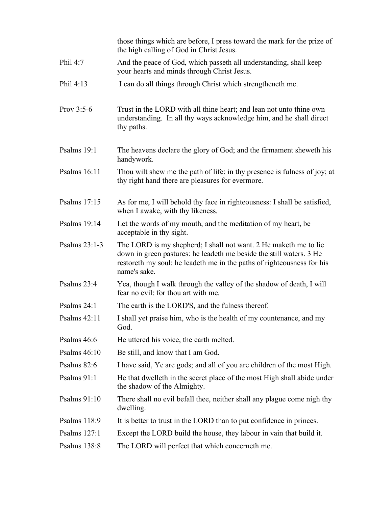|               | those things which are before, I press toward the mark for the prize of<br>the high calling of God in Christ Jesus.                                                                                                               |
|---------------|-----------------------------------------------------------------------------------------------------------------------------------------------------------------------------------------------------------------------------------|
| Phil 4:7      | And the peace of God, which passeth all understanding, shall keep<br>your hearts and minds through Christ Jesus.                                                                                                                  |
| Phil 4:13     | I can do all things through Christ which strengtheneth me.                                                                                                                                                                        |
| Prov $3:5-6$  | Trust in the LORD with all thine heart; and lean not unto thine own<br>understanding. In all thy ways acknowledge him, and he shall direct<br>thy paths.                                                                          |
| Psalms 19:1   | The heavens declare the glory of God; and the firmament sheweth his<br>handywork.                                                                                                                                                 |
| Psalms 16:11  | Thou wilt shew me the path of life: in thy presence is fulness of joy; at<br>thy right hand there are pleasures for evermore.                                                                                                     |
| Psalms 17:15  | As for me, I will behold thy face in righteousness: I shall be satisfied,<br>when I awake, with thy likeness.                                                                                                                     |
| Psalms 19:14  | Let the words of my mouth, and the meditation of my heart, be<br>acceptable in thy sight.                                                                                                                                         |
| Psalms 23:1-3 | The LORD is my shepherd; I shall not want. 2 He maketh me to lie<br>down in green pastures: he leadeth me beside the still waters. 3 He<br>restoreth my soul: he leadeth me in the paths of righteousness for his<br>name's sake. |
| Psalms 23:4   | Yea, though I walk through the valley of the shadow of death, I will<br>fear no evil: for thou art with me.                                                                                                                       |
| Psalms 24:1   | The earth is the LORD'S, and the fulness thereof.                                                                                                                                                                                 |
| Psalms 42:11  | I shall yet praise him, who is the health of my countenance, and my<br>God.                                                                                                                                                       |
| Psalms 46:6   | He uttered his voice, the earth melted.                                                                                                                                                                                           |
| Psalms 46:10  | Be still, and know that I am God.                                                                                                                                                                                                 |
| Psalms 82:6   | I have said, Ye are gods; and all of you are children of the most High.                                                                                                                                                           |
| Psalms 91:1   | He that dwelleth in the secret place of the most High shall abide under<br>the shadow of the Almighty.                                                                                                                            |
| Psalms 91:10  | There shall no evil befall thee, neither shall any plague come nigh thy<br>dwelling.                                                                                                                                              |
| Psalms 118:9  | It is better to trust in the LORD than to put confidence in princes.                                                                                                                                                              |
| Psalms 127:1  | Except the LORD build the house, they labour in vain that build it.                                                                                                                                                               |
| Psalms 138:8  | The LORD will perfect that which concerneth me.                                                                                                                                                                                   |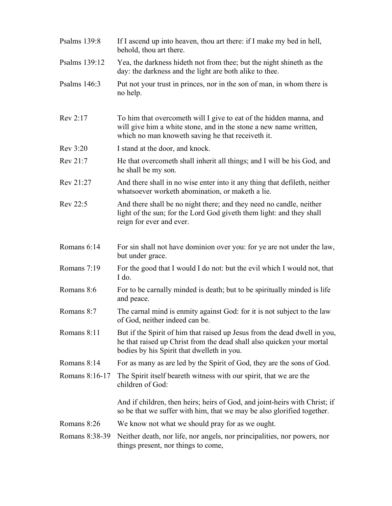| Psalms 139:8   | If I ascend up into heaven, thou art there: if I make my bed in hell,<br>behold, thou art there.                                                                                                 |
|----------------|--------------------------------------------------------------------------------------------------------------------------------------------------------------------------------------------------|
| Psalms 139:12  | Yea, the darkness hideth not from thee; but the night shineth as the<br>day: the darkness and the light are both alike to thee.                                                                  |
| Psalms 146:3   | Put not your trust in princes, nor in the son of man, in whom there is<br>no help.                                                                                                               |
| Rev 2:17       | To him that overcometh will I give to eat of the hidden manna, and<br>will give him a white stone, and in the stone a new name written,<br>which no man knoweth saving he that receive th it.    |
| Rev 3:20       | I stand at the door, and knock.                                                                                                                                                                  |
| Rev 21:7       | He that overcometh shall inherit all things; and I will be his God, and<br>he shall be my son.                                                                                                   |
| Rev 21:27      | And there shall in no wise enter into it any thing that defileth, neither<br>whatsoever worketh abomination, or maketh a lie.                                                                    |
| Rev 22:5       | And there shall be no night there; and they need no candle, neither<br>light of the sun; for the Lord God giveth them light: and they shall<br>reign for ever and ever.                          |
| Romans 6:14    | For sin shall not have dominion over you: for ye are not under the law,<br>but under grace.                                                                                                      |
| Romans 7:19    | For the good that I would I do not: but the evil which I would not, that<br>I do.                                                                                                                |
| Romans 8:6     | For to be carnally minded is death; but to be spiritually minded is life<br>and peace.                                                                                                           |
| Romans 8:7     | The carnal mind is enmity against God: for it is not subject to the law<br>of God, neither indeed can be.                                                                                        |
| Romans 8:11    | But if the Spirit of him that raised up Jesus from the dead dwell in you,<br>he that raised up Christ from the dead shall also quicken your mortal<br>bodies by his Spirit that dwelleth in you. |
| Romans 8:14    | For as many as are led by the Spirit of God, they are the sons of God.                                                                                                                           |
| Romans 8:16-17 | The Spirit itself beareth witness with our spirit, that we are the<br>children of God:                                                                                                           |
|                | And if children, then heirs; heirs of God, and joint-heirs with Christ; if<br>so be that we suffer with him, that we may be also glorified together.                                             |
| Romans 8:26    | We know not what we should pray for as we ought.                                                                                                                                                 |
| Romans 8:38-39 | Neither death, nor life, nor angels, nor principalities, nor powers, nor<br>things present, nor things to come,                                                                                  |